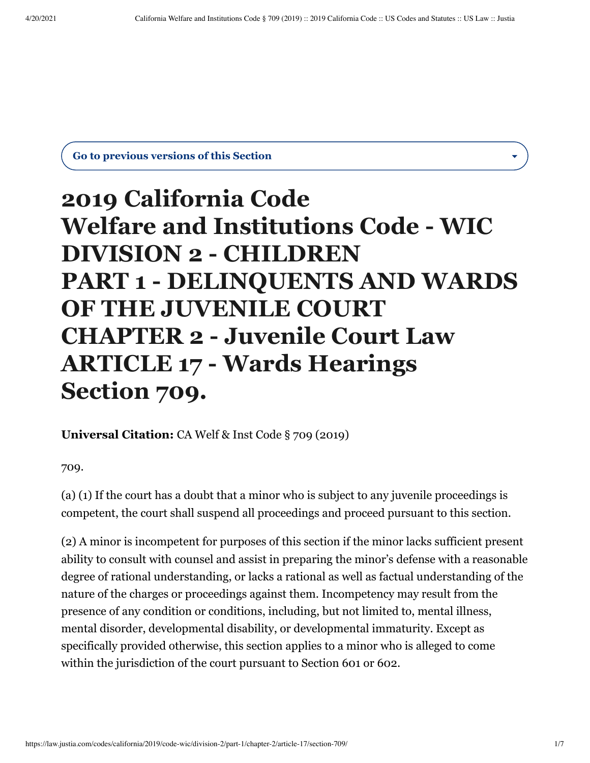**Go to previous versions of this Section**

## **2019 California Code Welfare and Institutions Code - WIC DIVISION 2 - CHILDREN PART 1 - DELINQUENTS AND WARDS OF THE JUVENILE COURT CHAPTER 2 - Juvenile Court Law ARTICLE 17 - Wards Hearings Section 709.**

**Universal Citation:** [CA Welf & Inst Code § 709 \(2019\)](https://law.justia.com/citations.html)

709.

(a) (1) If the court has a doubt that a minor who is subject to any juvenile proceedings is competent, the court shall suspend all proceedings and proceed pursuant to this section.

(2) A minor is incompetent for purposes of this section if the minor lacks sufficient present ability to consult with counsel and assist in preparing the minor's defense with a reasonable degree of rational understanding, or lacks a rational as well as factual understanding of the nature of the charges or proceedings against them. Incompetency may result from the presence of any condition or conditions, including, but not limited to, mental illness, mental disorder, developmental disability, or developmental immaturity. Except as specifically provided otherwise, this section applies to a minor who is alleged to come within the jurisdiction of the court pursuant to Section 601 or 602.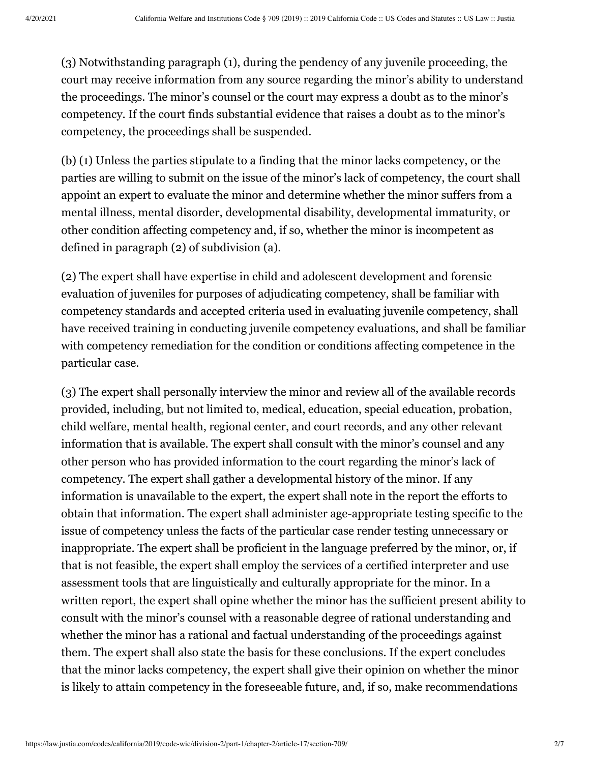(3) Notwithstanding paragraph (1), during the pendency of any juvenile proceeding, the court may receive information from any source regarding the minor's ability to understand the proceedings. The minor's counsel or the court may express a doubt as to the minor's competency. If the court finds substantial evidence that raises a doubt as to the minor's competency, the proceedings shall be suspended.

(b) (1) Unless the parties stipulate to a finding that the minor lacks competency, or the parties are willing to submit on the issue of the minor's lack of competency, the court shall appoint an expert to evaluate the minor and determine whether the minor suffers from a mental illness, mental disorder, developmental disability, developmental immaturity, or other condition affecting competency and, if so, whether the minor is incompetent as defined in paragraph (2) of subdivision (a).

(2) The expert shall have expertise in child and adolescent development and forensic evaluation of juveniles for purposes of adjudicating competency, shall be familiar with competency standards and accepted criteria used in evaluating juvenile competency, shall have received training in conducting juvenile competency evaluations, and shall be familiar with competency remediation for the condition or conditions affecting competence in the particular case.

(3) The expert shall personally interview the minor and review all of the available records provided, including, but not limited to, medical, education, special education, probation, child welfare, mental health, regional center, and court records, and any other relevant information that is available. The expert shall consult with the minor's counsel and any other person who has provided information to the court regarding the minor's lack of competency. The expert shall gather a developmental history of the minor. If any information is unavailable to the expert, the expert shall note in the report the efforts to obtain that information. The expert shall administer age-appropriate testing specific to the issue of competency unless the facts of the particular case render testing unnecessary or inappropriate. The expert shall be proficient in the language preferred by the minor, or, if that is not feasible, the expert shall employ the services of a certified interpreter and use assessment tools that are linguistically and culturally appropriate for the minor. In a written report, the expert shall opine whether the minor has the sufficient present ability to consult with the minor's counsel with a reasonable degree of rational understanding and whether the minor has a rational and factual understanding of the proceedings against them. The expert shall also state the basis for these conclusions. If the expert concludes that the minor lacks competency, the expert shall give their opinion on whether the minor is likely to attain competency in the foreseeable future, and, if so, make recommendations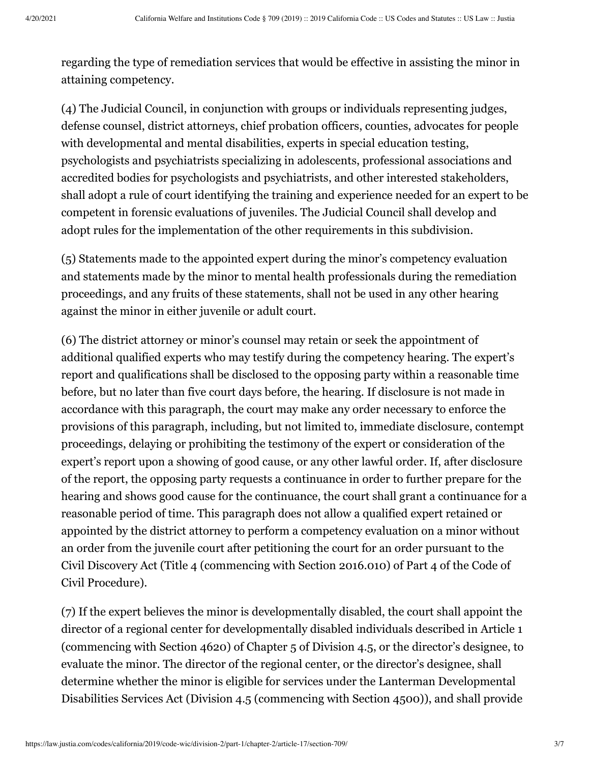regarding the type of remediation services that would be effective in assisting the minor in attaining competency.

(4) The Judicial Council, in conjunction with groups or individuals representing judges, defense counsel, district attorneys, chief probation officers, counties, advocates for people with developmental and mental disabilities, experts in special education testing, psychologists and psychiatrists specializing in adolescents, professional associations and accredited bodies for psychologists and psychiatrists, and other interested stakeholders, shall adopt a rule of court identifying the training and experience needed for an expert to be competent in forensic evaluations of juveniles. The Judicial Council shall develop and adopt rules for the implementation of the other requirements in this subdivision.

(5) Statements made to the appointed expert during the minor's competency evaluation and statements made by the minor to mental health professionals during the remediation proceedings, and any fruits of these statements, shall not be used in any other hearing against the minor in either juvenile or adult court.

(6) The district attorney or minor's counsel may retain or seek the appointment of additional qualified experts who may testify during the competency hearing. The expert's report and qualifications shall be disclosed to the opposing party within a reasonable time before, but no later than five court days before, the hearing. If disclosure is not made in accordance with this paragraph, the court may make any order necessary to enforce the provisions of this paragraph, including, but not limited to, immediate disclosure, contempt proceedings, delaying or prohibiting the testimony of the expert or consideration of the expert's report upon a showing of good cause, or any other lawful order. If, after disclosure of the report, the opposing party requests a continuance in order to further prepare for the hearing and shows good cause for the continuance, the court shall grant a continuance for a reasonable period of time. This paragraph does not allow a qualified expert retained or appointed by the district attorney to perform a competency evaluation on a minor without an order from the juvenile court after petitioning the court for an order pursuant to the Civil Discovery Act (Title 4 (commencing with Section 2016.010) of Part 4 of the Code of Civil Procedure).

(7) If the expert believes the minor is developmentally disabled, the court shall appoint the director of a regional center for developmentally disabled individuals described in Article 1 (commencing with Section 4620) of Chapter 5 of Division 4.5, or the director's designee, to evaluate the minor. The director of the regional center, or the director's designee, shall determine whether the minor is eligible for services under the Lanterman Developmental Disabilities Services Act (Division 4.5 (commencing with Section 4500)), and shall provide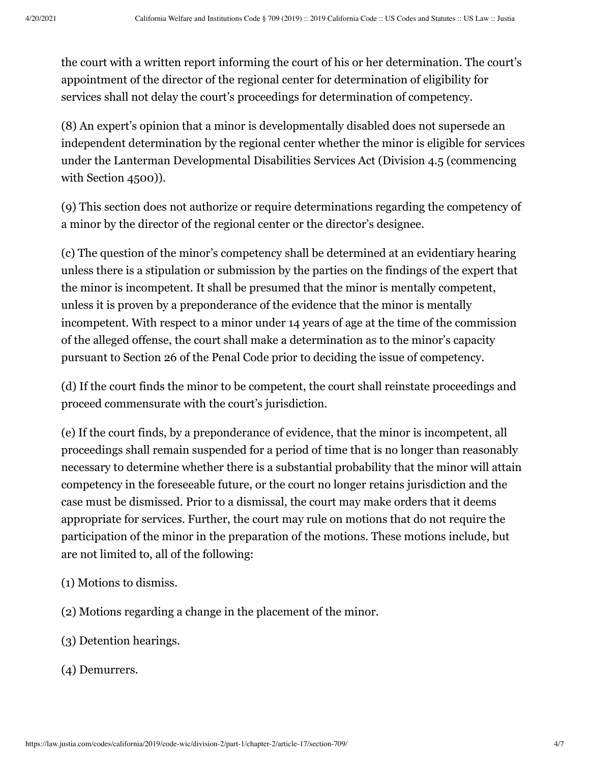the court with a written report informing the court of his or her determination. The court's appointment of the director of the regional center for determination of eligibility for services shall not delay the court's proceedings for determination of competency.

(8) An expert's opinion that a minor is developmentally disabled does not supersede an independent determination by the regional center whether the minor is eligible for services under the Lanterman Developmental Disabilities Services Act (Division 4.5 (commencing with Section 4500)).

(9) This section does not authorize or require determinations regarding the competency of a minor by the director of the regional center or the director's designee.

(c) The question of the minor's competency shall be determined at an evidentiary hearing unless there is a stipulation or submission by the parties on the findings of the expert that the minor is incompetent. It shall be presumed that the minor is mentally competent, unless it is proven by a preponderance of the evidence that the minor is mentally incompetent. With respect to a minor under 14 years of age at the time of the commission of the alleged offense, the court shall make a determination as to the minor's capacity pursuant to Section 26 of the Penal Code prior to deciding the issue of competency.

(d) If the court finds the minor to be competent, the court shall reinstate proceedings and proceed commensurate with the court's jurisdiction.

(e) If the court finds, by a preponderance of evidence, that the minor is incompetent, all proceedings shall remain suspended for a period of time that is no longer than reasonably necessary to determine whether there is a substantial probability that the minor will attain competency in the foreseeable future, or the court no longer retains jurisdiction and the case must be dismissed. Prior to a dismissal, the court may make orders that it deems appropriate for services. Further, the court may rule on motions that do not require the participation of the minor in the preparation of the motions. These motions include, but are not limited to, all of the following:

- (1) Motions to dismiss.
- (2) Motions regarding a change in the placement of the minor.
- (3) Detention hearings.
- (4) Demurrers.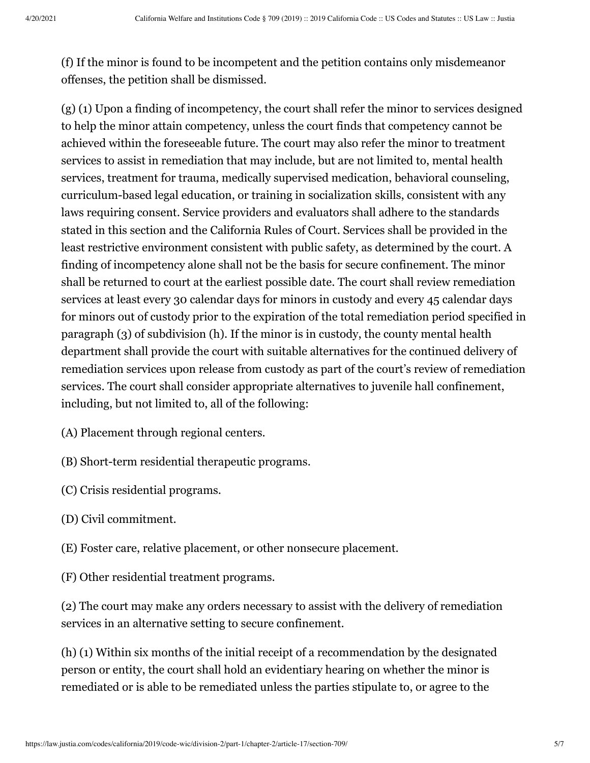(f) If the minor is found to be incompetent and the petition contains only misdemeanor offenses, the petition shall be dismissed.

(g) (1) Upon a finding of incompetency, the court shall refer the minor to services designed to help the minor attain competency, unless the court finds that competency cannot be achieved within the foreseeable future. The court may also refer the minor to treatment services to assist in remediation that may include, but are not limited to, mental health services, treatment for trauma, medically supervised medication, behavioral counseling, curriculum-based legal education, or training in socialization skills, consistent with any laws requiring consent. Service providers and evaluators shall adhere to the standards stated in this section and the California Rules of Court. Services shall be provided in the least restrictive environment consistent with public safety, as determined by the court. A finding of incompetency alone shall not be the basis for secure confinement. The minor shall be returned to court at the earliest possible date. The court shall review remediation services at least every 30 calendar days for minors in custody and every 45 calendar days for minors out of custody prior to the expiration of the total remediation period specified in paragraph (3) of subdivision (h). If the minor is in custody, the county mental health department shall provide the court with suitable alternatives for the continued delivery of remediation services upon release from custody as part of the court's review of remediation services. The court shall consider appropriate alternatives to juvenile hall confinement, including, but not limited to, all of the following:

(A) Placement through regional centers.

(B) Short-term residential therapeutic programs.

(C) Crisis residential programs.

(D) Civil commitment.

(E) Foster care, relative placement, or other nonsecure placement.

(F) Other residential treatment programs.

(2) The court may make any orders necessary to assist with the delivery of remediation services in an alternative setting to secure confinement.

(h) (1) Within six months of the initial receipt of a recommendation by the designated person or entity, the court shall hold an evidentiary hearing on whether the minor is remediated or is able to be remediated unless the parties stipulate to, or agree to the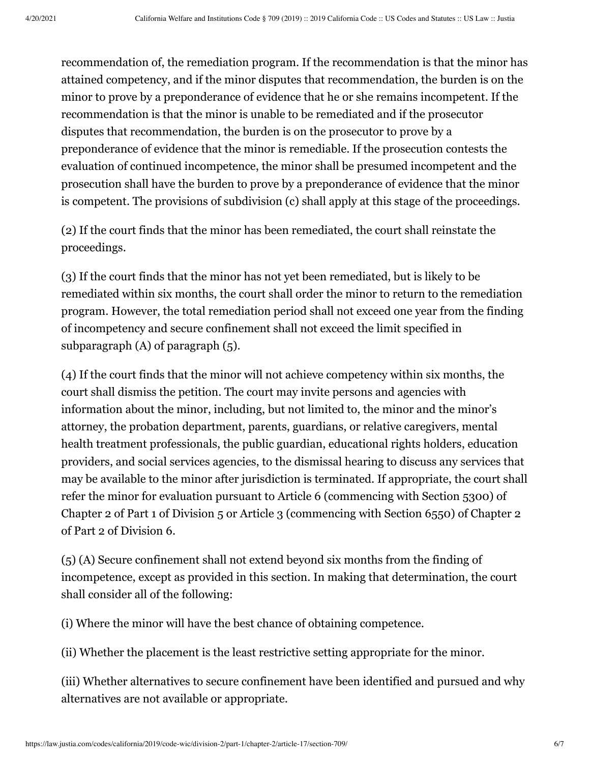recommendation of, the remediation program. If the recommendation is that the minor has attained competency, and if the minor disputes that recommendation, the burden is on the minor to prove by a preponderance of evidence that he or she remains incompetent. If the recommendation is that the minor is unable to be remediated and if the prosecutor disputes that recommendation, the burden is on the prosecutor to prove by a preponderance of evidence that the minor is remediable. If the prosecution contests the evaluation of continued incompetence, the minor shall be presumed incompetent and the prosecution shall have the burden to prove by a preponderance of evidence that the minor is competent. The provisions of subdivision (c) shall apply at this stage of the proceedings.

(2) If the court finds that the minor has been remediated, the court shall reinstate the proceedings.

(3) If the court finds that the minor has not yet been remediated, but is likely to be remediated within six months, the court shall order the minor to return to the remediation program. However, the total remediation period shall not exceed one year from the finding of incompetency and secure confinement shall not exceed the limit specified in subparagraph (A) of paragraph (5).

(4) If the court finds that the minor will not achieve competency within six months, the court shall dismiss the petition. The court may invite persons and agencies with information about the minor, including, but not limited to, the minor and the minor's attorney, the probation department, parents, guardians, or relative caregivers, mental health treatment professionals, the public guardian, educational rights holders, education providers, and social services agencies, to the dismissal hearing to discuss any services that may be available to the minor after jurisdiction is terminated. If appropriate, the court shall refer the minor for evaluation pursuant to Article 6 (commencing with Section 5300) of Chapter 2 of Part 1 of Division 5 or Article 3 (commencing with Section 6550) of Chapter 2 of Part 2 of Division 6.

(5) (A) Secure confinement shall not extend beyond six months from the finding of incompetence, except as provided in this section. In making that determination, the court shall consider all of the following:

(i) Where the minor will have the best chance of obtaining competence.

(ii) Whether the placement is the least restrictive setting appropriate for the minor.

(iii) Whether alternatives to secure confinement have been identified and pursued and why alternatives are not available or appropriate.